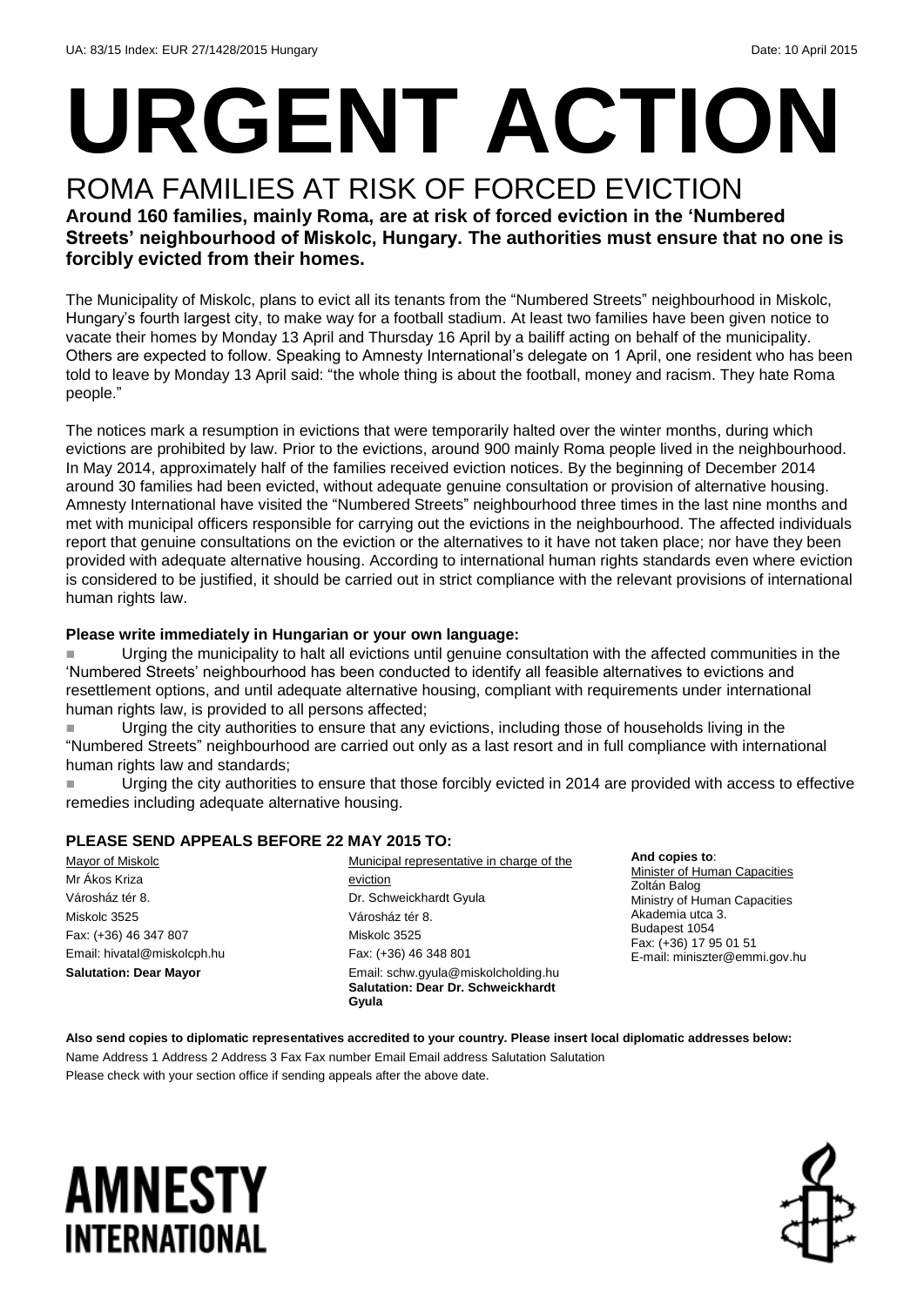# **URGENT ACTION**

#### ROMA FAMILIES AT RISK OF FORCED EVICTION **Around 160 families, mainly Roma, are at risk of forced eviction in the 'Numbered Streets' neighbourhood of Miskolc, Hungary. The authorities must ensure that no one is forcibly evicted from their homes.**

The Municipality of Miskolc, plans to evict all its tenants from the "Numbered Streets" neighbourhood in Miskolc, Hungary's fourth largest city, to make way for a football stadium. At least two families have been given notice to vacate their homes by Monday 13 April and Thursday 16 April by a bailiff acting on behalf of the municipality. Others are expected to follow. Speaking to Amnesty International's delegate on 1 April, one resident who has been told to leave by Monday 13 April said: "the whole thing is about the football, money and racism. They hate Roma people."

The notices mark a resumption in evictions that were temporarily halted over the winter months, during which evictions are prohibited by law. Prior to the evictions, around 900 mainly Roma people lived in the neighbourhood. In May 2014, approximately half of the families received eviction notices. By the beginning of December 2014 around 30 families had been evicted, without adequate genuine consultation or provision of alternative housing. Amnesty International have visited the "Numbered Streets" neighbourhood three times in the last nine months and met with municipal officers responsible for carrying out the evictions in the neighbourhood. The affected individuals report that genuine consultations on the eviction or the alternatives to it have not taken place; nor have they been provided with adequate alternative housing. According to international human rights standards even where eviction is considered to be justified, it should be carried out in strict compliance with the relevant provisions of international human rights law.

#### **Please write immediately in Hungarian or your own language:**

 Urging the municipality to halt all evictions until genuine consultation with the affected communities in the 'Numbered Streets' neighbourhood has been conducted to identify all feasible alternatives to evictions and resettlement options, and until adequate alternative housing, compliant with requirements under international human rights law, is provided to all persons affected;

 Urging the city authorities to ensure that any evictions, including those of households living in the "Numbered Streets" neighbourhood are carried out only as a last resort and in full compliance with international human rights law and standards;

 Urging the city authorities to ensure that those forcibly evicted in 2014 are provided with access to effective remedies including adequate alternative housing.

#### **PLEASE SEND APPEALS BEFORE 22 MAY 2015 TO:**

Mayor of Miskolc Mr Ákos Kriza Városház tér 8. Miskolc 3525 Fax: (+36) 46 347 807 Email: hivatal@miskolcph.hu **Salutation: Dear Mayor**

Municipal representative in charge of the eviction Dr. Schweickhardt Gyula Városház tér 8. Miskolc 3525 Fax: (+36) 46 348 801 Email: schw.gyula@miskolcholding.hu **Salutation: Dear Dr. Schweickhardt Gyula**

**And copies to**: Minister of Human Capacities Zoltán Balog Ministry of Human Capacities Akademia utca 3. Budapest 1054 Fax: (+36) 17 95 01 51 E-mail: miniszter@emmi.gov.hu

**Also send copies to diplomatic representatives accredited to your country. Please insert local diplomatic addresses below:** Name Address 1 Address 2 Address 3 Fax Fax number Email Email address Salutation Salutation Please check with your section office if sending appeals after the above date.